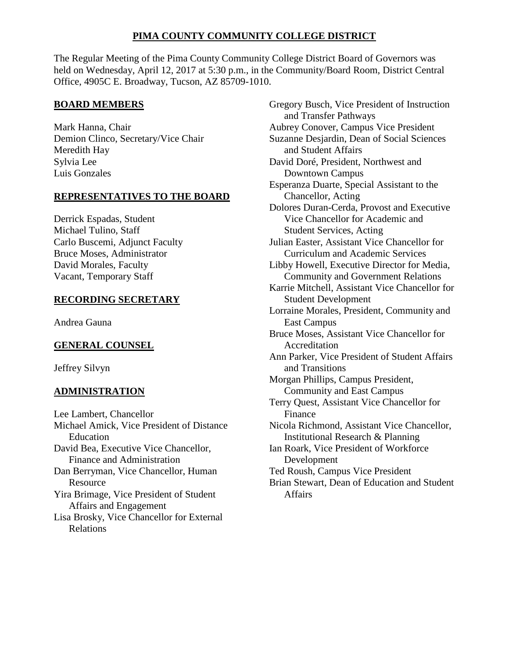# **PIMA COUNTY COMMUNITY COLLEGE DISTRICT**

The Regular Meeting of the Pima County Community College District Board of Governors was held on Wednesday, April 12, 2017 at 5:30 p.m., in the Community/Board Room, District Central Office, 4905C E. Broadway, Tucson, AZ 85709-1010.

## **BOARD MEMBERS**

Mark Hanna, Chair Demion Clinco, Secretary/Vice Chair Meredith Hay Sylvia Lee Luis Gonzales

## **REPRESENTATIVES TO THE BOARD**

Derrick Espadas, Student Michael Tulino, Staff Carlo Buscemi, Adjunct Faculty Bruce Moses, Administrator David Morales, Faculty Vacant, Temporary Staff

# **RECORDING SECRETARY**

Andrea Gauna

# **GENERAL COUNSEL**

Jeffrey Silvyn

# **ADMINISTRATION**

Lee Lambert, Chancellor Michael Amick, Vice President of Distance Education David Bea, Executive Vice Chancellor, Finance and Administration Dan Berryman, Vice Chancellor, Human Resource Yira Brimage, Vice President of Student Affairs and Engagement Lisa Brosky, Vice Chancellor for External Relations

Gregory Busch, Vice President of Instruction and Transfer Pathways Aubrey Conover, Campus Vice President Suzanne Desjardin, Dean of Social Sciences and Student Affairs David Doré, President, Northwest and Downtown Campus Esperanza Duarte, Special Assistant to the Chancellor, Acting Dolores Duran-Cerda, Provost and Executive Vice Chancellor for Academic and Student Services, Acting Julian Easter, Assistant Vice Chancellor for Curriculum and Academic Services Libby Howell, Executive Director for Media, Community and Government Relations Karrie Mitchell, Assistant Vice Chancellor for Student Development Lorraine Morales, President, Community and East Campus Bruce Moses, Assistant Vice Chancellor for Accreditation Ann Parker, Vice President of Student Affairs and Transitions Morgan Phillips, Campus President, Community and East Campus Terry Quest, Assistant Vice Chancellor for Finance Nicola Richmond, Assistant Vice Chancellor, Institutional Research & Planning Ian Roark, Vice President of Workforce Development Ted Roush, Campus Vice President Brian Stewart, Dean of Education and Student Affairs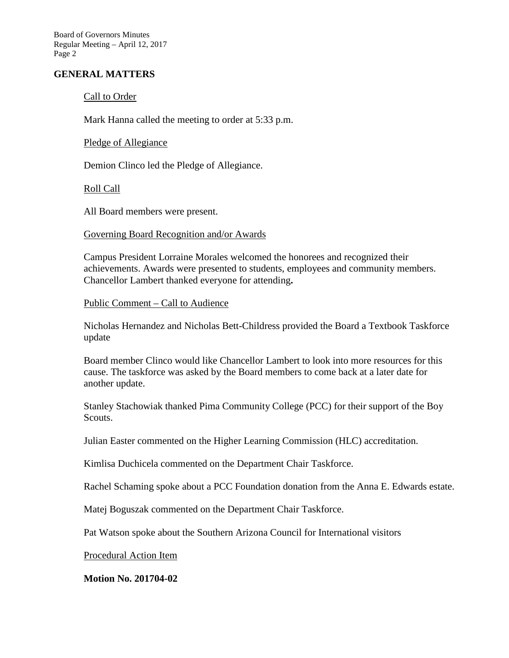Board of Governors Minutes Regular Meeting – April 12, 2017 Page 2

### **GENERAL MATTERS**

### Call to Order

Mark Hanna called the meeting to order at 5:33 p.m.

Pledge of Allegiance

Demion Clinco led the Pledge of Allegiance.

Roll Call

All Board members were present.

#### Governing Board Recognition and/or Awards

Campus President Lorraine Morales welcomed the honorees and recognized their achievements. Awards were presented to students, employees and community members. Chancellor Lambert thanked everyone for attending**.** 

#### Public Comment – Call to Audience

Nicholas Hernandez and Nicholas Bett-Childress provided the Board a Textbook Taskforce update

Board member Clinco would like Chancellor Lambert to look into more resources for this cause. The taskforce was asked by the Board members to come back at a later date for another update.

Stanley Stachowiak thanked Pima Community College (PCC) for their support of the Boy Scouts.

Julian Easter commented on the Higher Learning Commission (HLC) accreditation.

Kimlisa Duchicela commented on the Department Chair Taskforce.

Rachel Schaming spoke about a PCC Foundation donation from the Anna E. Edwards estate.

Matej Boguszak commented on the Department Chair Taskforce.

Pat Watson spoke about the Southern Arizona Council for International visitors

Procedural Action Item

**Motion No. 201704-02**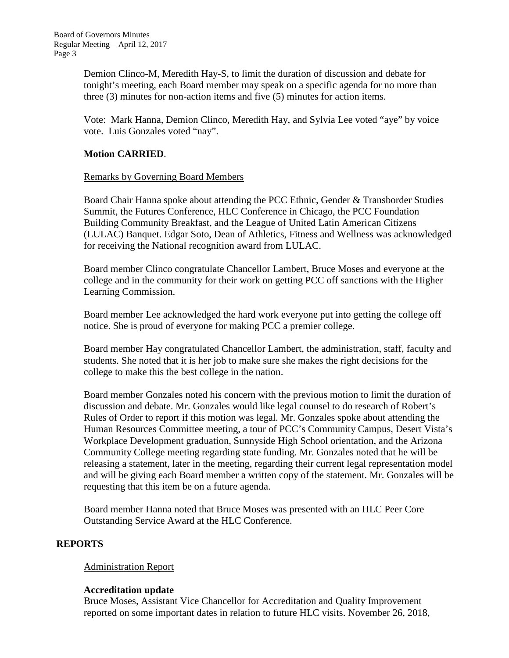Demion Clinco-M, Meredith Hay-S, to limit the duration of discussion and debate for tonight's meeting, each Board member may speak on a specific agenda for no more than three (3) minutes for non-action items and five (5) minutes for action items.

Vote: Mark Hanna, Demion Clinco, Meredith Hay, and Sylvia Lee voted "aye" by voice vote. Luis Gonzales voted "nay".

### **Motion CARRIED**.

### Remarks by Governing Board Members

Board Chair Hanna spoke about attending the PCC Ethnic, Gender & Transborder Studies Summit, the Futures Conference, HLC Conference in Chicago, the PCC Foundation Building Community Breakfast, and the League of United Latin American Citizens (LULAC) Banquet. Edgar Soto, Dean of Athletics, Fitness and Wellness was acknowledged for receiving the National recognition award from LULAC.

Board member Clinco congratulate Chancellor Lambert, Bruce Moses and everyone at the college and in the community for their work on getting PCC off sanctions with the Higher Learning Commission.

Board member Lee acknowledged the hard work everyone put into getting the college off notice. She is proud of everyone for making PCC a premier college.

Board member Hay congratulated Chancellor Lambert, the administration, staff, faculty and students. She noted that it is her job to make sure she makes the right decisions for the college to make this the best college in the nation.

Board member Gonzales noted his concern with the previous motion to limit the duration of discussion and debate. Mr. Gonzales would like legal counsel to do research of Robert's Rules of Order to report if this motion was legal. Mr. Gonzales spoke about attending the Human Resources Committee meeting, a tour of PCC's Community Campus, Desert Vista's Workplace Development graduation, Sunnyside High School orientation, and the Arizona Community College meeting regarding state funding. Mr. Gonzales noted that he will be releasing a statement, later in the meeting, regarding their current legal representation model and will be giving each Board member a written copy of the statement. Mr. Gonzales will be requesting that this item be on a future agenda.

Board member Hanna noted that Bruce Moses was presented with an HLC Peer Core Outstanding Service Award at the HLC Conference.

### **REPORTS**

### Administration Report

### **Accreditation update**

Bruce Moses, Assistant Vice Chancellor for Accreditation and Quality Improvement reported on some important dates in relation to future HLC visits. November 26, 2018,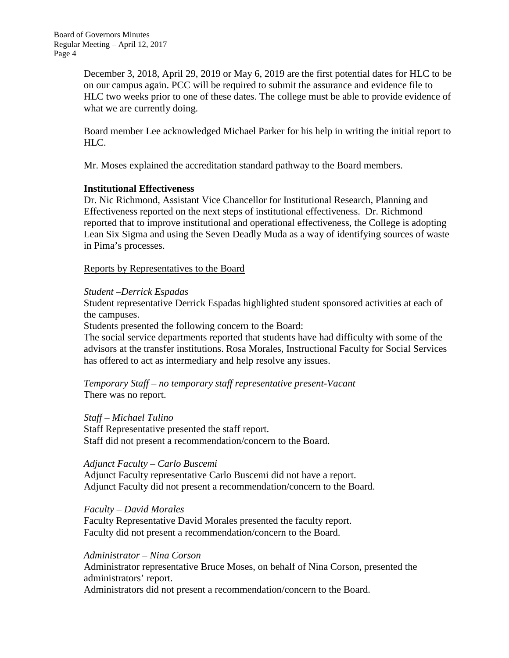December 3, 2018, April 29, 2019 or May 6, 2019 are the first potential dates for HLC to be on our campus again. PCC will be required to submit the assurance and evidence file to HLC two weeks prior to one of these dates. The college must be able to provide evidence of what we are currently doing.

Board member Lee acknowledged Michael Parker for his help in writing the initial report to HLC.

Mr. Moses explained the accreditation standard pathway to the Board members.

### **Institutional Effectiveness**

Dr. Nic Richmond, Assistant Vice Chancellor for Institutional Research, Planning and Effectiveness reported on the next steps of institutional effectiveness. Dr. Richmond reported that to improve institutional and operational effectiveness, the College is adopting Lean Six Sigma and using the Seven Deadly Muda as a way of identifying sources of waste in Pima's processes.

Reports by Representatives to the Board

### *Student –Derrick Espadas*

Student representative Derrick Espadas highlighted student sponsored activities at each of the campuses.

Students presented the following concern to the Board:

The social service departments reported that students have had difficulty with some of the advisors at the transfer institutions. Rosa Morales, Instructional Faculty for Social Services has offered to act as intermediary and help resolve any issues.

*Temporary Staff – no temporary staff representative present-Vacant* There was no report.

*Staff – Michael Tulino* Staff Representative presented the staff report. Staff did not present a recommendation/concern to the Board.

## *Adjunct Faculty – Carlo Buscemi*

Adjunct Faculty representative Carlo Buscemi did not have a report. Adjunct Faculty did not present a recommendation/concern to the Board.

*Faculty – David Morales* Faculty Representative David Morales presented the faculty report. Faculty did not present a recommendation/concern to the Board.

### *Administrator – Nina Corson*

Administrator representative Bruce Moses, on behalf of Nina Corson, presented the administrators' report.

Administrators did not present a recommendation/concern to the Board.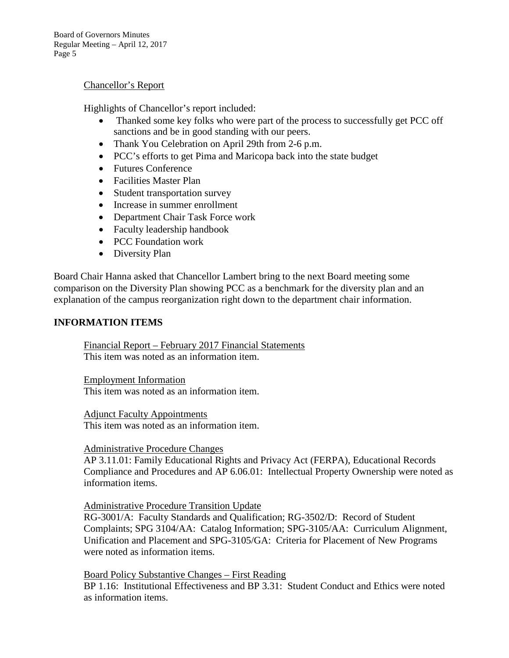Board of Governors Minutes Regular Meeting – April 12, 2017 Page 5

#### Chancellor's Report

Highlights of Chancellor's report included:

- Thanked some key folks who were part of the process to successfully get PCC off sanctions and be in good standing with our peers.
- Thank You Celebration on April 29th from 2-6 p.m.
- PCC's efforts to get Pima and Maricopa back into the state budget
- Futures Conference
- Facilities Master Plan
- Student transportation survey
- Increase in summer enrollment
- Department Chair Task Force work
- Faculty leadership handbook
- PCC Foundation work
- Diversity Plan

Board Chair Hanna asked that Chancellor Lambert bring to the next Board meeting some comparison on the Diversity Plan showing PCC as a benchmark for the diversity plan and an explanation of the campus reorganization right down to the department chair information.

### **INFORMATION ITEMS**

Financial Report – February 2017 Financial Statements This item was noted as an information item.

Employment Information This item was noted as an information item.

Adjunct Faculty Appointments This item was noted as an information item.

#### Administrative Procedure Changes

AP 3.11.01: Family Educational Rights and Privacy Act (FERPA), Educational Records Compliance and Procedures and AP 6.06.01: Intellectual Property Ownership were noted as information items.

Administrative Procedure Transition Update

RG-3001/A: Faculty Standards and Qualification; RG-3502/D: Record of Student Complaints; SPG 3104/AA: Catalog Information; SPG-3105/AA: Curriculum Alignment, Unification and Placement and SPG-3105/GA: Criteria for Placement of New Programs were noted as information items.

Board Policy Substantive Changes – First Reading BP 1.16: Institutional Effectiveness and BP 3.31: Student Conduct and Ethics were noted as information items.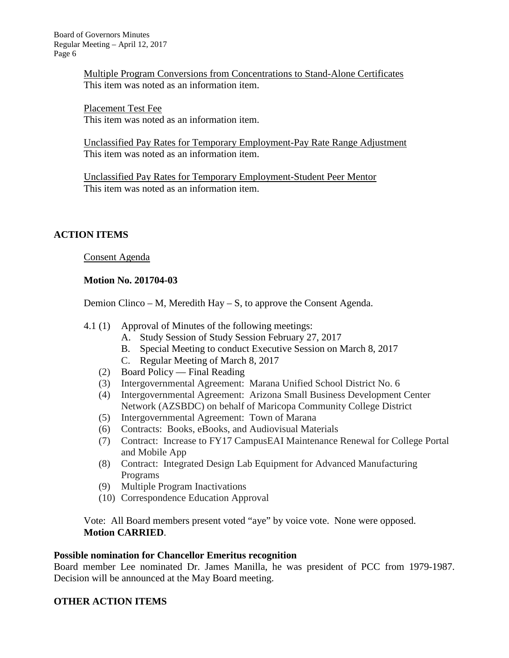Multiple Program Conversions from Concentrations to Stand-Alone Certificates This item was noted as an information item.

Placement Test Fee This item was noted as an information item.

Unclassified Pay Rates for Temporary Employment-Pay Rate Range Adjustment This item was noted as an information item.

Unclassified Pay Rates for Temporary Employment-Student Peer Mentor This item was noted as an information item.

## **ACTION ITEMS**

Consent Agenda

### **Motion No. 201704-03**

Demion Clinco – M, Meredith Hay – S, to approve the Consent Agenda.

- 4.1 (1) Approval of Minutes of the following meetings:
	- A. Study Session of Study Session February 27, 2017
	- B. Special Meeting to conduct Executive Session on March 8, 2017
	- C. Regular Meeting of March 8, 2017
	- (2) Board Policy Final Reading
	- (3) Intergovernmental Agreement: Marana Unified School District No. 6
	- (4) Intergovernmental Agreement: Arizona Small Business Development Center Network (AZSBDC) on behalf of Maricopa Community College District
	- (5) Intergovernmental Agreement: Town of Marana
	- (6) Contracts: Books, eBooks, and Audiovisual Materials
	- (7) Contract: Increase to FY17 CampusEAI Maintenance Renewal for College Portal and Mobile App
	- (8) Contract: Integrated Design Lab Equipment for Advanced Manufacturing Programs
	- (9) Multiple Program Inactivations
	- (10) Correspondence Education Approval

Vote: All Board members present voted "aye" by voice vote. None were opposed. **Motion CARRIED**.

### **Possible nomination for Chancellor Emeritus recognition**

Board member Lee nominated Dr. James Manilla, he was president of PCC from 1979-1987. Decision will be announced at the May Board meeting.

## **OTHER ACTION ITEMS**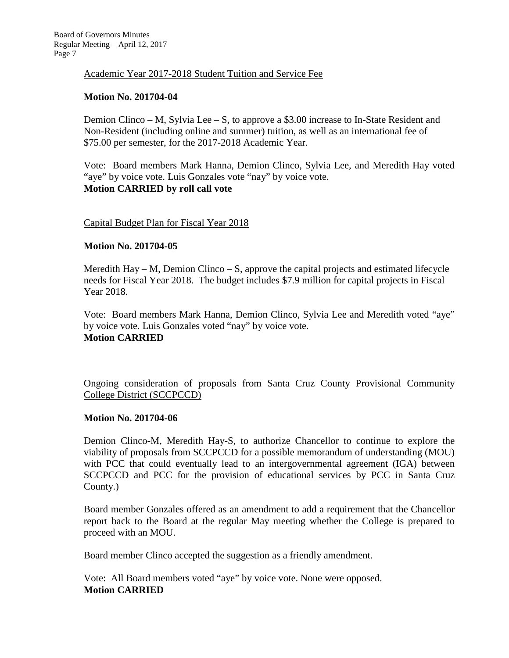Academic Year 2017-2018 Student Tuition and Service Fee

# **Motion No. 201704-04**

Demion Clinco – M, Sylvia Lee – S, to approve a \$3.00 increase to In-State Resident and Non-Resident (including online and summer) tuition, as well as an international fee of \$75.00 per semester, for the 2017-2018 Academic Year.

Vote: Board members Mark Hanna, Demion Clinco, Sylvia Lee, and Meredith Hay voted "aye" by voice vote. Luis Gonzales vote "nay" by voice vote. **Motion CARRIED by roll call vote**

### Capital Budget Plan for Fiscal Year 2018

### **Motion No. 201704-05**

Meredith Hay – M, Demion Clinco – S, approve the capital projects and estimated lifecycle needs for Fiscal Year 2018. The budget includes \$7.9 million for capital projects in Fiscal Year 2018.

Vote: Board members Mark Hanna, Demion Clinco, Sylvia Lee and Meredith voted "aye" by voice vote. Luis Gonzales voted "nay" by voice vote. **Motion CARRIED**

Ongoing consideration of proposals from Santa Cruz County Provisional Community College District (SCCPCCD)

### **Motion No. 201704-06**

Demion Clinco-M, Meredith Hay-S, to authorize Chancellor to continue to explore the viability of proposals from SCCPCCD for a possible memorandum of understanding (MOU) with PCC that could eventually lead to an intergovernmental agreement (IGA) between SCCPCCD and PCC for the provision of educational services by PCC in Santa Cruz County.)

Board member Gonzales offered as an amendment to add a requirement that the Chancellor report back to the Board at the regular May meeting whether the College is prepared to proceed with an MOU.

Board member Clinco accepted the suggestion as a friendly amendment.

Vote: All Board members voted "aye" by voice vote. None were opposed. **Motion CARRIED**